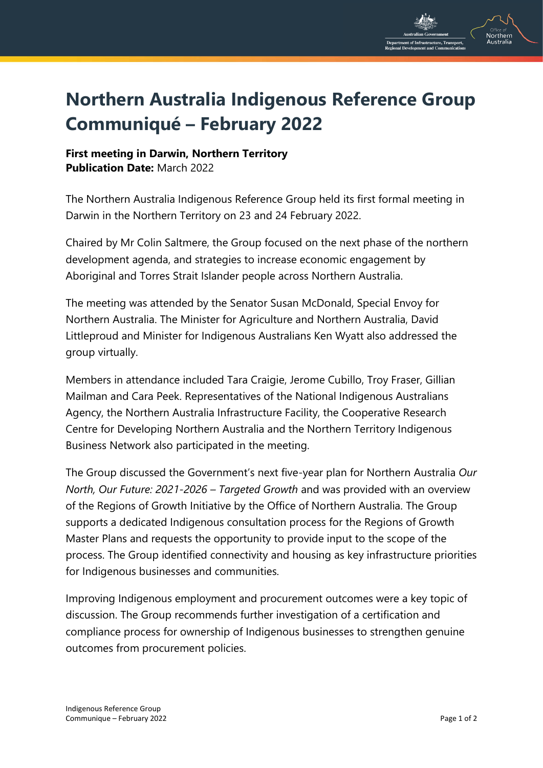

## **Northern Australia Indigenous Reference Group Communiqué – February 2022**

## **First meeting in Darwin, Northern Territory Publication Date:** March 2022

The Northern Australia Indigenous Reference Group held its first formal meeting in Darwin in the Northern Territory on 23 and 24 February 2022.

Chaired by Mr Colin Saltmere, the Group focused on the next phase of the northern development agenda, and strategies to increase economic engagement by Aboriginal and Torres Strait Islander people across Northern Australia.

The meeting was attended by the Senator Susan McDonald, Special Envoy for Northern Australia. The Minister for Agriculture and Northern Australia, David Littleproud and Minister for Indigenous Australians Ken Wyatt also addressed the group virtually.

Members in attendance included Tara Craigie, Jerome Cubillo, Troy Fraser, Gillian Mailman and Cara Peek. Representatives of the National Indigenous Australians Agency, the Northern Australia Infrastructure Facility, the Cooperative Research Centre for Developing Northern Australia and the Northern Territory Indigenous Business Network also participated in the meeting.

The Group discussed the Government's next five-year plan for Northern Australia *Our North, Our Future: 2021-2026 – Targeted Growth* and was provided with an overview of the Regions of Growth Initiative by the Office of Northern Australia. The Group supports a dedicated Indigenous consultation process for the Regions of Growth Master Plans and requests the opportunity to provide input to the scope of the process. The Group identified connectivity and housing as key infrastructure priorities for Indigenous businesses and communities.

Improving Indigenous employment and procurement outcomes were a key topic of discussion. The Group recommends further investigation of a certification and compliance process for ownership of Indigenous businesses to strengthen genuine outcomes from procurement policies.